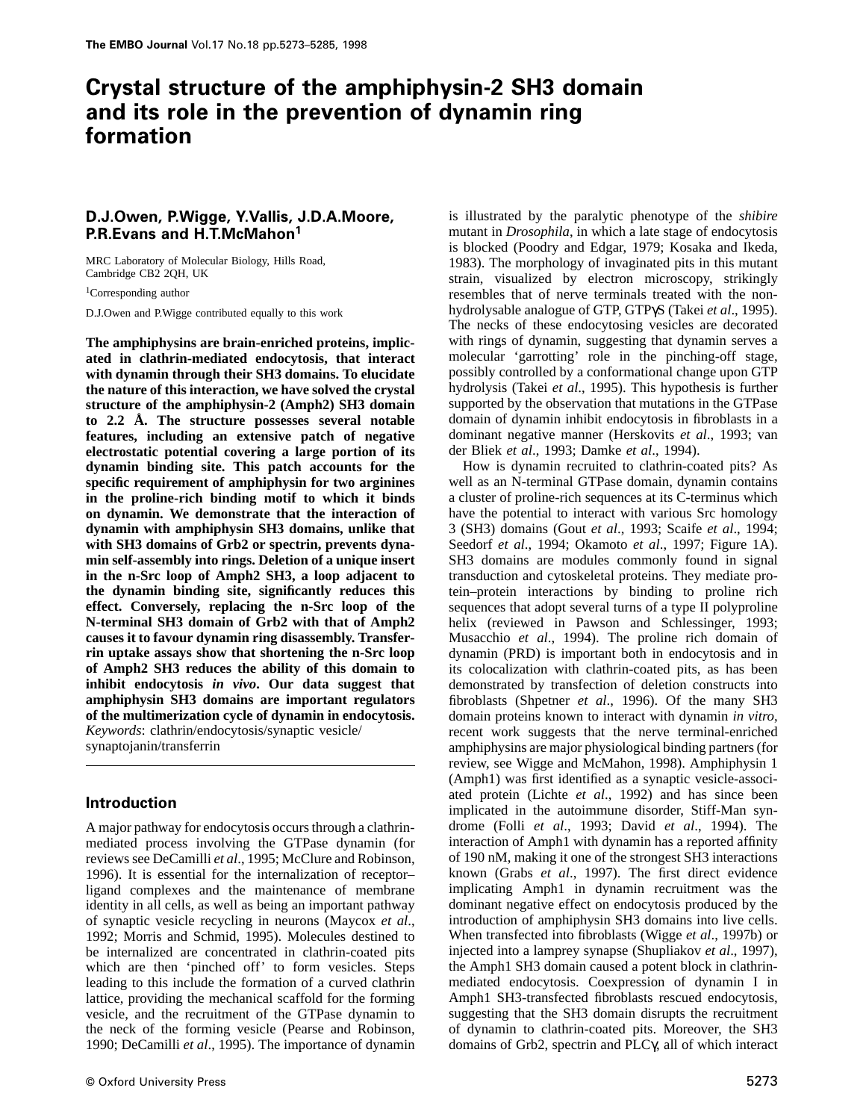# **Crystal structure of the amphiphysin-2 SH3 domain and its role in the prevention of dynamin ring formation**

# **D.J.Owen, P.Wigge, Y.Vallis, J.D.A.Moore, P.R.Evans and H.T.McMahon1**

MRC Laboratory of Molecular Biology, Hills Road, Cambridge CB2 2QH, UK

<sup>1</sup>Corresponding author

D.J.Owen and P.Wigge contributed equally to this work

**The amphiphysins are brain-enriched proteins, implicated in clathrin-mediated endocytosis, that interact with dynamin through their SH3 domains. To elucidate the nature of this interaction, we have solved the crystal structure of the amphiphysin-2 (Amph2) SH3 domain to 2.2 Å. The structure possesses several notable features, including an extensive patch of negative electrostatic potential covering a large portion of its dynamin binding site. This patch accounts for the specific requirement of amphiphysin for two arginines in the proline-rich binding motif to which it binds on dynamin. We demonstrate that the interaction of dynamin with amphiphysin SH3 domains, unlike that with SH3 domains of Grb2 or spectrin, prevents dynamin self-assembly into rings. Deletion of a unique insert in the n-Src loop of Amph2 SH3, a loop adjacent to the dynamin binding site, significantly reduces this effect. Conversely, replacing the n-Src loop of the N-terminal SH3 domain of Grb2 with that of Amph2 causes it to favour dynamin ring disassembly. Transferrin uptake assays show that shortening the n-Src loop of Amph2 SH3 reduces the ability of this domain to inhibit endocytosis** *in vivo***. Our data suggest that amphiphysin SH3 domains are important regulators of the multimerization cycle of dynamin in endocytosis.** *Keywords*: clathrin/endocytosis/synaptic vesicle/

synaptojanin/transferrin

# **Introduction**

A major pathway for endocytosis occurs through a clathrinmediated process involving the GTPase dynamin (for reviews see DeCamilli *et al*., 1995; McClure and Robinson, 1996). It is essential for the internalization of receptor– ligand complexes and the maintenance of membrane identity in all cells, as well as being an important pathway of synaptic vesicle recycling in neurons (Maycox *et al*., 1992; Morris and Schmid, 1995). Molecules destined to be internalized are concentrated in clathrin-coated pits which are then 'pinched off' to form vesicles. Steps leading to this include the formation of a curved clathrin lattice, providing the mechanical scaffold for the forming vesicle, and the recruitment of the GTPase dynamin to the neck of the forming vesicle (Pearse and Robinson, 1990; DeCamilli *et al*., 1995). The importance of dynamin

is illustrated by the paralytic phenotype of the *shibire* mutant in *Drosophila*, in which a late stage of endocytosis is blocked (Poodry and Edgar, 1979; Kosaka and Ikeda, 1983). The morphology of invaginated pits in this mutant strain, visualized by electron microscopy, strikingly resembles that of nerve terminals treated with the nonhydrolysable analogue of GTP, GTPγS (Takei *et al*., 1995). The necks of these endocytosing vesicles are decorated with rings of dynamin, suggesting that dynamin serves a molecular 'garrotting' role in the pinching-off stage, possibly controlled by a conformational change upon GTP hydrolysis (Takei *et al*., 1995). This hypothesis is further supported by the observation that mutations in the GTPase domain of dynamin inhibit endocytosis in fibroblasts in a dominant negative manner (Herskovits *et al*., 1993; van der Bliek *et al*., 1993; Damke *et al*., 1994).

How is dynamin recruited to clathrin-coated pits? As well as an N-terminal GTPase domain, dynamin contains a cluster of proline-rich sequences at its C-terminus which have the potential to interact with various Src homology 3 (SH3) domains (Gout *et al*., 1993; Scaife *et al*., 1994; Seedorf *et al*., 1994; Okamoto *et al*., 1997; Figure 1A). SH3 domains are modules commonly found in signal transduction and cytoskeletal proteins. They mediate protein–protein interactions by binding to proline rich sequences that adopt several turns of a type II polyproline helix (reviewed in Pawson and Schlessinger, 1993; Musacchio *et al*., 1994). The proline rich domain of dynamin (PRD) is important both in endocytosis and in its colocalization with clathrin-coated pits, as has been demonstrated by transfection of deletion constructs into fibroblasts (Shpetner *et al*., 1996). Of the many SH3 domain proteins known to interact with dynamin *in vitro*, recent work suggests that the nerve terminal-enriched amphiphysins are major physiological binding partners (for review, see Wigge and McMahon, 1998). Amphiphysin 1 (Amph1) was first identified as a synaptic vesicle-associated protein (Lichte *et al*., 1992) and has since been implicated in the autoimmune disorder, Stiff-Man syndrome (Folli *et al*., 1993; David *et al*., 1994). The interaction of Amph1 with dynamin has a reported affinity of 190 nM, making it one of the strongest SH3 interactions known (Grabs *et al*., 1997). The first direct evidence implicating Amph1 in dynamin recruitment was the dominant negative effect on endocytosis produced by the introduction of amphiphysin SH3 domains into live cells. When transfected into fibroblasts (Wigge *et al*., 1997b) or injected into a lamprey synapse (Shupliakov *et al*., 1997), the Amph1 SH3 domain caused a potent block in clathrinmediated endocytosis. Coexpression of dynamin I in Amph1 SH3-transfected fibroblasts rescued endocytosis, suggesting that the SH3 domain disrupts the recruitment of dynamin to clathrin-coated pits. Moreover, the SH3 domains of Grb2, spectrin and PLCγ, all of which interact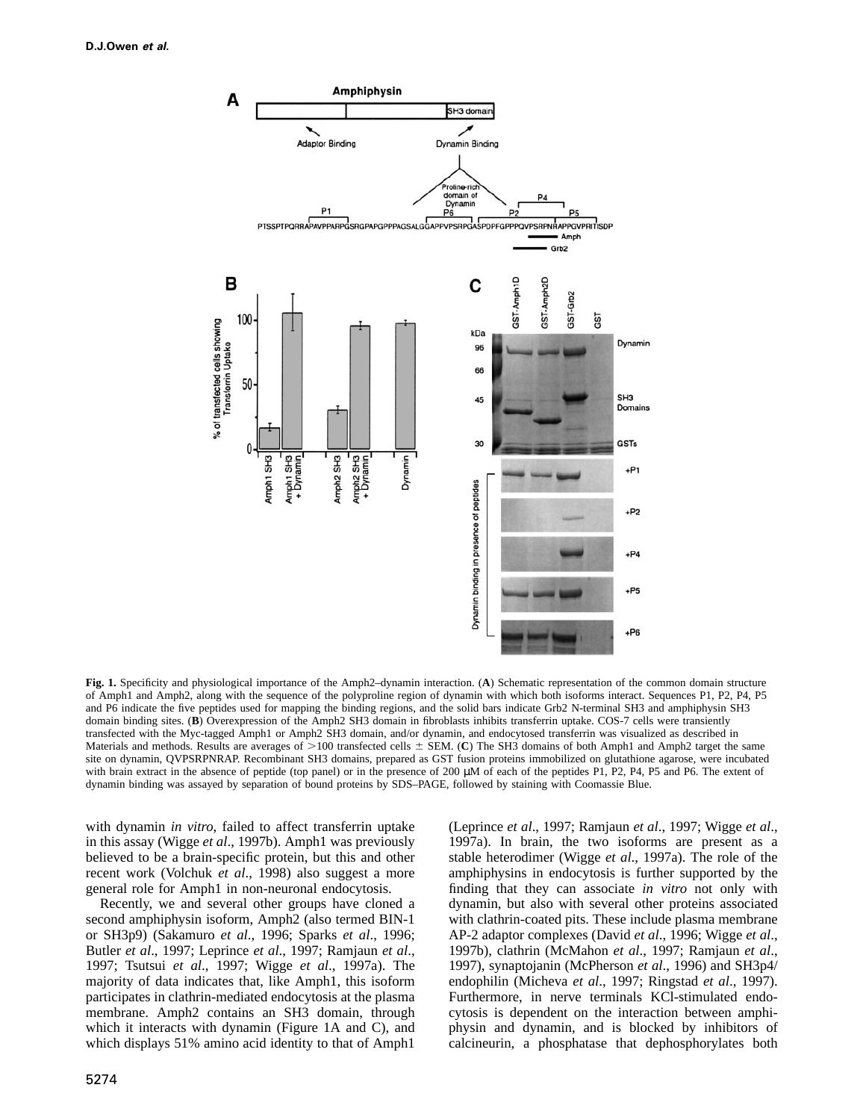

**Fig. 1.** Specificity and physiological importance of the Amph2–dynamin interaction. (**A**) Schematic representation of the common domain structure of Amph1 and Amph2, along with the sequence of the polyproline region of dynamin with which both isoforms interact. Sequences P1, P2, P4, P5 and P6 indicate the five peptides used for mapping the binding regions, and the solid bars indicate Grb2 N-terminal SH3 and amphiphysin SH3 domain binding sites. (**B**) Overexpression of the Amph2 SH3 domain in fibroblasts inhibits transferrin uptake. COS-7 cells were transiently transfected with the Myc-tagged Amph1 or Amph2 SH3 domain, and/or dynamin, and endocytosed transferrin was visualized as described in Materials and methods. Results are averages of >100 transfected cells  $\pm$  SEM. (C) The SH3 domains of both Amph1 and Amph2 target the same site on dynamin, QVPSRPNRAP. Recombinant SH3 domains, prepared as GST fusion proteins immobilized on glutathione agarose, were incubated with brain extract in the absence of peptide (top panel) or in the presence of 200 µM of each of the peptides P1, P2, P4, P5 and P6. The extent of dynamin binding was assayed by separation of bound proteins by SDS–PAGE, followed by staining with Coomassie Blue.

with dynamin *in vitro*, failed to affect transferrin uptake in this assay (Wigge *et al*., 1997b). Amph1 was previously believed to be a brain-specific protein, but this and other recent work (Volchuk *et al*., 1998) also suggest a more general role for Amph1 in non-neuronal endocytosis.

Recently, we and several other groups have cloned a second amphiphysin isoform, Amph2 (also termed BIN-1 or SH3p9) (Sakamuro *et al*., 1996; Sparks *et al*., 1996; Butler *et al*., 1997; Leprince *et al*., 1997; Ramjaun *et al*., 1997; Tsutsui *et al*., 1997; Wigge *et al*., 1997a). The majority of data indicates that, like Amph1, this isoform participates in clathrin-mediated endocytosis at the plasma membrane. Amph2 contains an SH3 domain, through which it interacts with dynamin (Figure 1A and C), and which displays 51% amino acid identity to that of Amph1

1997a). In brain, the two isoforms are present as a stable heterodimer (Wigge *et al*., 1997a). The role of the amphiphysins in endocytosis is further supported by the finding that they can associate *in vitro* not only with dynamin, but also with several other proteins associated with clathrin-coated pits. These include plasma membrane AP-2 adaptor complexes (David *et al*., 1996; Wigge *et al*., 1997b), clathrin (McMahon *et al*., 1997; Ramjaun *et al*., 1997), synaptojanin (McPherson *et al*., 1996) and SH3p4/ endophilin (Micheva *et al*., 1997; Ringstad *et al*., 1997). Furthermore, in nerve terminals KCl-stimulated endocytosis is dependent on the interaction between amphiphysin and dynamin, and is blocked by inhibitors of calcineurin, a phosphatase that dephosphorylates both

(Leprince *et al*., 1997; Ramjaun *et al*., 1997; Wigge *et al*.,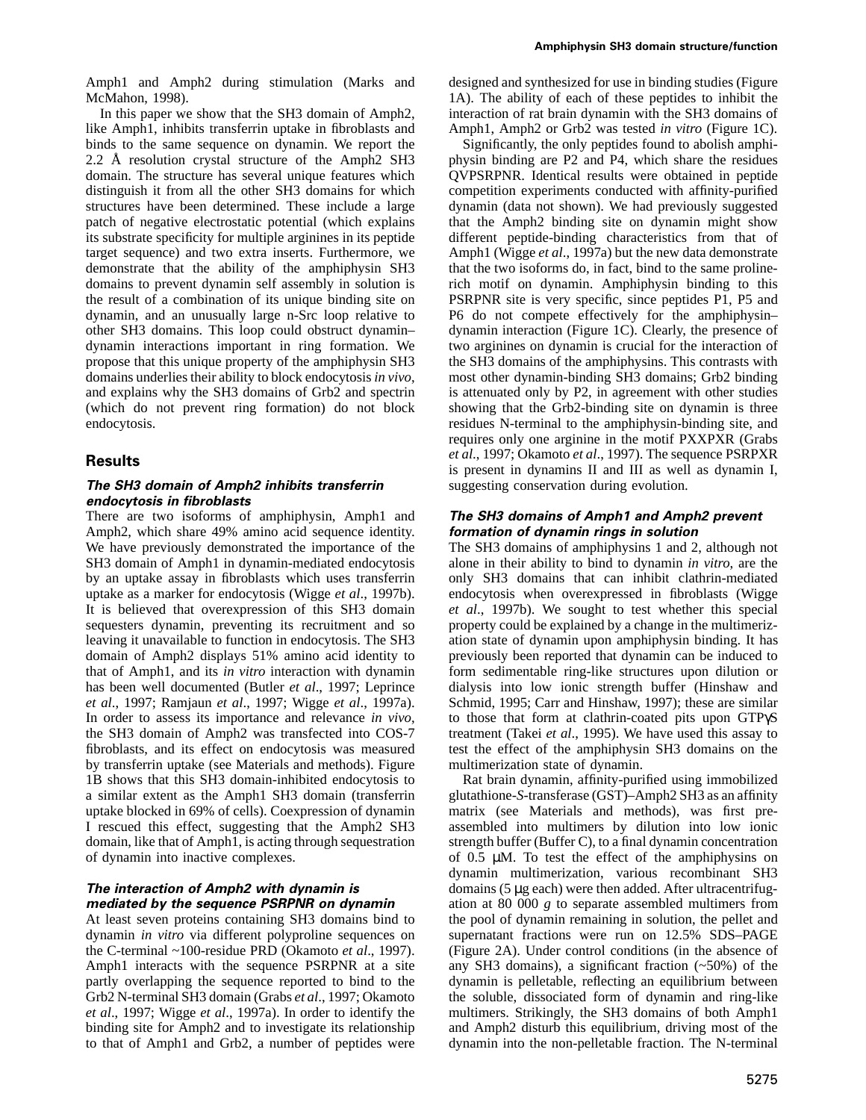In this paper we show that the SH3 domain of Amph2, like Amph1, inhibits transferrin uptake in fibroblasts and binds to the same sequence on dynamin. We report the 2.2 Å resolution crystal structure of the Amph2 SH3 domain. The structure has several unique features which distinguish it from all the other SH3 domains for which structures have been determined. These include a large patch of negative electrostatic potential (which explains its substrate specificity for multiple arginines in its peptide target sequence) and two extra inserts. Furthermore, we demonstrate that the ability of the amphiphysin SH3 domains to prevent dynamin self assembly in solution is the result of a combination of its unique binding site on dynamin, and an unusually large n-Src loop relative to other SH3 domains. This loop could obstruct dynamin– dynamin interactions important in ring formation. We propose that this unique property of the amphiphysin SH3 domains underlies their ability to block endocytosis*in vivo*, and explains why the SH3 domains of Grb2 and spectrin (which do not prevent ring formation) do not block endocytosis.

# **Results**

# **The SH3 domain of Amph2 inhibits transferrin endocytosis in fibroblasts**

There are two isoforms of amphiphysin, Amph1 and Amph2, which share 49% amino acid sequence identity. We have previously demonstrated the importance of the SH3 domain of Amph1 in dynamin-mediated endocytosis by an uptake assay in fibroblasts which uses transferrin uptake as a marker for endocytosis (Wigge *et al*., 1997b). It is believed that overexpression of this SH3 domain sequesters dynamin, preventing its recruitment and so leaving it unavailable to function in endocytosis. The SH3 domain of Amph2 displays 51% amino acid identity to that of Amph1, and its *in vitro* interaction with dynamin has been well documented (Butler *et al*., 1997; Leprince *et al*., 1997; Ramjaun *et al*., 1997; Wigge *et al*., 1997a). In order to assess its importance and relevance *in vivo*, the SH3 domain of Amph2 was transfected into COS-7 fibroblasts, and its effect on endocytosis was measured by transferrin uptake (see Materials and methods). Figure 1B shows that this SH3 domain-inhibited endocytosis to a similar extent as the Amph1 SH3 domain (transferrin uptake blocked in 69% of cells). Coexpression of dynamin I rescued this effect, suggesting that the Amph2 SH3 domain, like that of Amph1, is acting through sequestration of dynamin into inactive complexes.

# **The interaction of Amph2 with dynamin is mediated by the sequence PSRPNR on dynamin**

At least seven proteins containing SH3 domains bind to dynamin *in vitro* via different polyproline sequences on the C-terminal ~100-residue PRD (Okamoto *et al*., 1997). Amph1 interacts with the sequence PSRPNR at a site partly overlapping the sequence reported to bind to the Grb2 N-terminal SH3 domain (Grabs *et al*., 1997; Okamoto *et al*., 1997; Wigge *et al*., 1997a). In order to identify the binding site for Amph2 and to investigate its relationship to that of Amph1 and Grb2, a number of peptides were designed and synthesized for use in binding studies (Figure 1A). The ability of each of these peptides to inhibit the interaction of rat brain dynamin with the SH3 domains of Amph1, Amph2 or Grb2 was tested *in vitro* (Figure 1C).

Significantly, the only peptides found to abolish amphiphysin binding are P2 and P4, which share the residues QVPSRPNR. Identical results were obtained in peptide competition experiments conducted with affinity-purified dynamin (data not shown). We had previously suggested that the Amph2 binding site on dynamin might show different peptide-binding characteristics from that of Amph1 (Wigge *et al*., 1997a) but the new data demonstrate that the two isoforms do, in fact, bind to the same prolinerich motif on dynamin. Amphiphysin binding to this PSRPNR site is very specific, since peptides P1, P5 and P6 do not compete effectively for the amphiphysin– dynamin interaction (Figure 1C). Clearly, the presence of two arginines on dynamin is crucial for the interaction of the SH3 domains of the amphiphysins. This contrasts with most other dynamin-binding SH3 domains; Grb2 binding is attenuated only by P2, in agreement with other studies showing that the Grb2-binding site on dynamin is three residues N-terminal to the amphiphysin-binding site, and requires only one arginine in the motif PXXPXR (Grabs *et al*., 1997; Okamoto *et al*., 1997). The sequence PSRPXR is present in dynamins II and III as well as dynamin I, suggesting conservation during evolution.

## **The SH3 domains of Amph1 and Amph2 prevent formation of dynamin rings in solution**

The SH3 domains of amphiphysins 1 and 2, although not alone in their ability to bind to dynamin *in vitro*, are the only SH3 domains that can inhibit clathrin-mediated endocytosis when overexpressed in fibroblasts (Wigge *et al*., 1997b). We sought to test whether this special property could be explained by a change in the multimerization state of dynamin upon amphiphysin binding. It has previously been reported that dynamin can be induced to form sedimentable ring-like structures upon dilution or dialysis into low ionic strength buffer (Hinshaw and Schmid, 1995; Carr and Hinshaw, 1997); these are similar to those that form at clathrin-coated pits upon GTPγS treatment (Takei *et al*., 1995). We have used this assay to test the effect of the amphiphysin SH3 domains on the multimerization state of dynamin.

Rat brain dynamin, affinity-purified using immobilized glutathione-*S*-transferase (GST)–Amph2 SH3 as an affinity matrix (see Materials and methods), was first preassembled into multimers by dilution into low ionic strength buffer (Buffer C), to a final dynamin concentration of 0.5 µM. To test the effect of the amphiphysins on dynamin multimerization, various recombinant SH3 domains (5 µg each) were then added. After ultracentrifugation at 80 000 *g* to separate assembled multimers from the pool of dynamin remaining in solution, the pellet and supernatant fractions were run on 12.5% SDS–PAGE (Figure 2A). Under control conditions (in the absence of any SH3 domains), a significant fraction (~50%) of the dynamin is pelletable, reflecting an equilibrium between the soluble, dissociated form of dynamin and ring-like multimers. Strikingly, the SH3 domains of both Amph1 and Amph2 disturb this equilibrium, driving most of the dynamin into the non-pelletable fraction. The N-terminal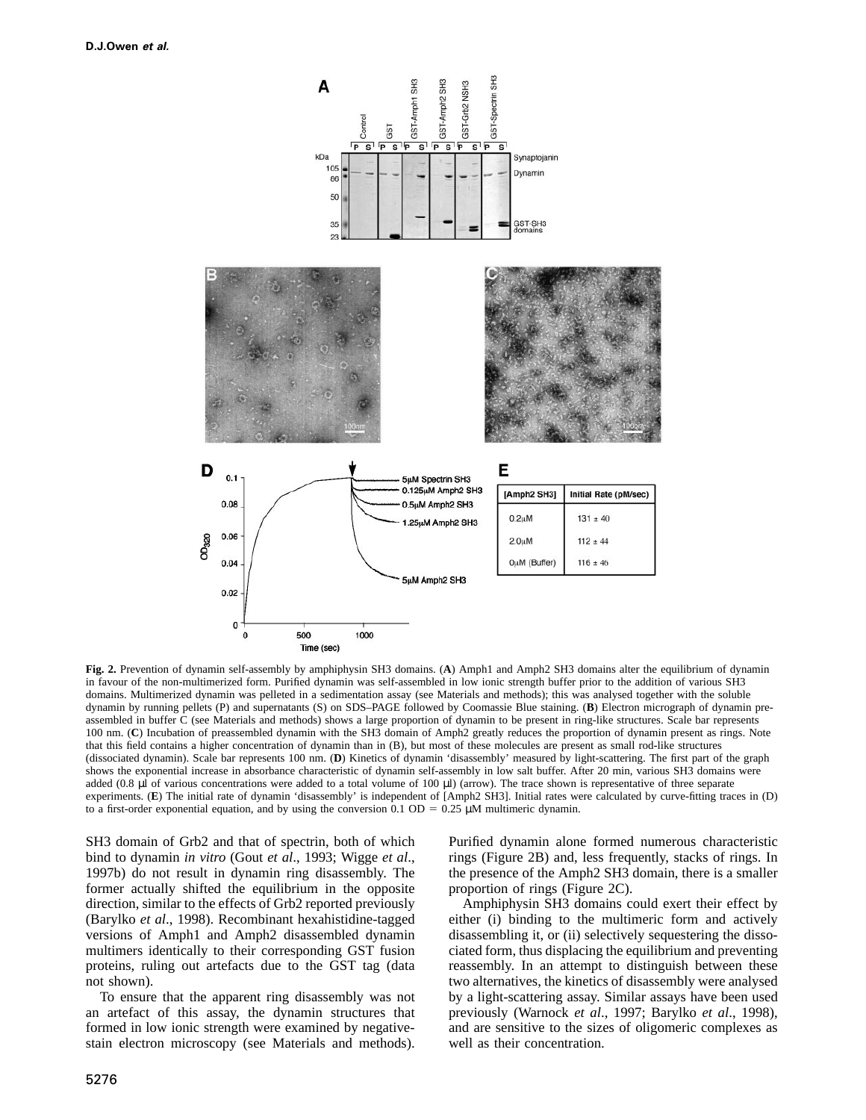

**Fig. 2.** Prevention of dynamin self-assembly by amphiphysin SH3 domains. (**A**) Amph1 and Amph2 SH3 domains alter the equilibrium of dynamin in favour of the non-multimerized form. Purified dynamin was self-assembled in low ionic strength buffer prior to the addition of various SH3 domains. Multimerized dynamin was pelleted in a sedimentation assay (see Materials and methods); this was analysed together with the soluble dynamin by running pellets (P) and supernatants (S) on SDS–PAGE followed by Coomassie Blue staining. (**B**) Electron micrograph of dynamin preassembled in buffer C (see Materials and methods) shows a large proportion of dynamin to be present in ring-like structures. Scale bar represents 100 nm. (**C**) Incubation of preassembled dynamin with the SH3 domain of Amph2 greatly reduces the proportion of dynamin present as rings. Note that this field contains a higher concentration of dynamin than in (B), but most of these molecules are present as small rod-like structures (dissociated dynamin). Scale bar represents 100 nm. (**D**) Kinetics of dynamin 'disassembly' measured by light-scattering. The first part of the graph shows the exponential increase in absorbance characteristic of dynamin self-assembly in low salt buffer. After 20 min, various SH3 domains were added (0.8 µl of various concentrations were added to a total volume of 100 µl) (arrow). The trace shown is representative of three separate experiments. (**E**) The initial rate of dynamin 'disassembly' is independent of [Amph2 SH3]. Initial rates were calculated by curve-fitting traces in (D) to a first-order exponential equation, and by using the conversion 0.1 OD =  $0.25 \mu M$  multimeric dynamin.

SH3 domain of Grb2 and that of spectrin, both of which bind to dynamin *in vitro* (Gout *et al*., 1993; Wigge *et al*., 1997b) do not result in dynamin ring disassembly. The former actually shifted the equilibrium in the opposite direction, similar to the effects of Grb2 reported previously (Barylko *et al*., 1998). Recombinant hexahistidine-tagged versions of Amph1 and Amph2 disassembled dynamin multimers identically to their corresponding GST fusion proteins, ruling out artefacts due to the GST tag (data not shown).

To ensure that the apparent ring disassembly was not an artefact of this assay, the dynamin structures that formed in low ionic strength were examined by negativestain electron microscopy (see Materials and methods). Purified dynamin alone formed numerous characteristic rings (Figure 2B) and, less frequently, stacks of rings. In the presence of the Amph2 SH3 domain, there is a smaller proportion of rings (Figure 2C).

Amphiphysin SH3 domains could exert their effect by either (i) binding to the multimeric form and actively disassembling it, or (ii) selectively sequestering the dissociated form, thus displacing the equilibrium and preventing reassembly. In an attempt to distinguish between these two alternatives, the kinetics of disassembly were analysed by a light-scattering assay. Similar assays have been used previously (Warnock *et al*., 1997; Barylko *et al*., 1998), and are sensitive to the sizes of oligomeric complexes as well as their concentration.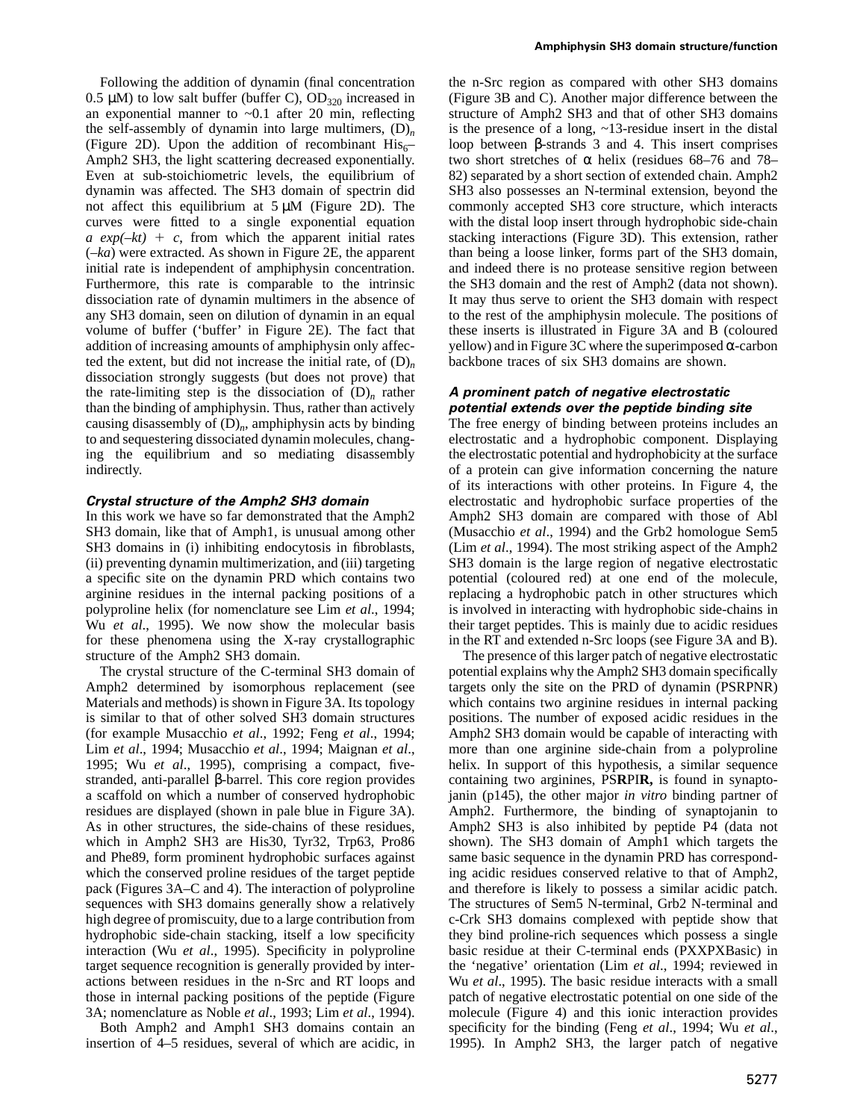Following the addition of dynamin (final concentration 0.5  $\mu$ M) to low salt buffer (buffer C), OD<sub>320</sub> increased in an exponential manner to  $\sim 0.1$  after 20 min, reflecting the self-assembly of dynamin into large multimers, (D)*<sup>n</sup>* (Figure 2D). Upon the addition of recombinant  $His<sub>6</sub>$ Amph2 SH3, the light scattering decreased exponentially. Even at sub-stoichiometric levels, the equilibrium of dynamin was affected. The SH3 domain of spectrin did not affect this equilibrium at 5 µM (Figure 2D). The curves were fitted to a single exponential equation  $a \exp(-kt) + c$ , from which the apparent initial rates (*–ka*) were extracted. As shown in Figure 2E, the apparent initial rate is independent of amphiphysin concentration. Furthermore, this rate is comparable to the intrinsic dissociation rate of dynamin multimers in the absence of any SH3 domain, seen on dilution of dynamin in an equal volume of buffer ('buffer' in Figure 2E). The fact that addition of increasing amounts of amphiphysin only affected the extent, but did not increase the initial rate, of (D)*<sup>n</sup>* dissociation strongly suggests (but does not prove) that the rate-limiting step is the dissociation of  $(D)_n$  rather than the binding of amphiphysin. Thus, rather than actively causing disassembly of  $(D)_n$ , amphiphysin acts by binding to and sequestering dissociated dynamin molecules, changing the equilibrium and so mediating disassembly indirectly.

### **Crystal structure of the Amph2 SH3 domain**

In this work we have so far demonstrated that the Amph2 SH3 domain, like that of Amph1, is unusual among other SH3 domains in (i) inhibiting endocytosis in fibroblasts, (ii) preventing dynamin multimerization, and (iii) targeting a specific site on the dynamin PRD which contains two arginine residues in the internal packing positions of a polyproline helix (for nomenclature see Lim *et al*., 1994; Wu *et al*., 1995). We now show the molecular basis for these phenomena using the X-ray crystallographic structure of the Amph2 SH3 domain.

The crystal structure of the C-terminal SH3 domain of Amph2 determined by isomorphous replacement (see Materials and methods) is shown in Figure 3A. Its topology is similar to that of other solved SH3 domain structures (for example Musacchio *et al*., 1992; Feng *et al*., 1994; Lim *et al*., 1994; Musacchio *et al*., 1994; Maignan *et al*., 1995; Wu *et al*., 1995), comprising a compact, fivestranded, anti-parallel β-barrel. This core region provides a scaffold on which a number of conserved hydrophobic residues are displayed (shown in pale blue in Figure 3A). As in other structures, the side-chains of these residues, which in Amph2 SH3 are His30, Tyr32, Trp63, Pro86 and Phe89, form prominent hydrophobic surfaces against which the conserved proline residues of the target peptide pack (Figures 3A–C and 4). The interaction of polyproline sequences with SH3 domains generally show a relatively high degree of promiscuity, due to a large contribution from hydrophobic side-chain stacking, itself a low specificity interaction (Wu *et al*., 1995). Specificity in polyproline target sequence recognition is generally provided by interactions between residues in the n-Src and RT loops and those in internal packing positions of the peptide (Figure 3A; nomenclature as Noble *et al*., 1993; Lim *et al*., 1994).

Both Amph2 and Amph1 SH3 domains contain an insertion of 4–5 residues, several of which are acidic, in

the n-Src region as compared with other SH3 domains (Figure 3B and C). Another major difference between the structure of Amph2 SH3 and that of other SH3 domains is the presence of a long, ~13-residue insert in the distal loop between β-strands 3 and 4. This insert comprises two short stretches of α helix (residues 68–76 and 78– 82) separated by a short section of extended chain. Amph2 SH3 also possesses an N-terminal extension, beyond the commonly accepted SH3 core structure, which interacts with the distal loop insert through hydrophobic side-chain stacking interactions (Figure 3D). This extension, rather than being a loose linker, forms part of the SH3 domain, and indeed there is no protease sensitive region between the SH3 domain and the rest of Amph2 (data not shown). It may thus serve to orient the SH3 domain with respect to the rest of the amphiphysin molecule. The positions of these inserts is illustrated in Figure 3A and B (coloured yellow) and in Figure 3C where the superimposed α-carbon backbone traces of six SH3 domains are shown.

### **A prominent patch of negative electrostatic potential extends over the peptide binding site**

The free energy of binding between proteins includes an electrostatic and a hydrophobic component. Displaying the electrostatic potential and hydrophobicity at the surface of a protein can give information concerning the nature of its interactions with other proteins. In Figure 4, the electrostatic and hydrophobic surface properties of the Amph2 SH3 domain are compared with those of Abl (Musacchio *et al*., 1994) and the Grb2 homologue Sem5 (Lim *et al*., 1994). The most striking aspect of the Amph2 SH3 domain is the large region of negative electrostatic potential (coloured red) at one end of the molecule, replacing a hydrophobic patch in other structures which is involved in interacting with hydrophobic side-chains in their target peptides. This is mainly due to acidic residues in the RT and extended n-Src loops (see Figure 3A and B).

The presence of this larger patch of negative electrostatic potential explains why the Amph2 SH3 domain specifically targets only the site on the PRD of dynamin (PSRPNR) which contains two arginine residues in internal packing positions. The number of exposed acidic residues in the Amph2 SH3 domain would be capable of interacting with more than one arginine side-chain from a polyproline helix. In support of this hypothesis, a similar sequence containing two arginines, PS**R**PI**R,** is found in synaptojanin (p145), the other major *in vitro* binding partner of Amph2. Furthermore, the binding of synaptojanin to Amph2 SH3 is also inhibited by peptide P4 (data not shown). The SH3 domain of Amph1 which targets the same basic sequence in the dynamin PRD has corresponding acidic residues conserved relative to that of Amph2, and therefore is likely to possess a similar acidic patch. The structures of Sem5 N-terminal, Grb2 N-terminal and c-Crk SH3 domains complexed with peptide show that they bind proline-rich sequences which possess a single basic residue at their C-terminal ends (PXXPXBasic) in the 'negative' orientation (Lim *et al*., 1994; reviewed in Wu *et al*., 1995). The basic residue interacts with a small patch of negative electrostatic potential on one side of the molecule (Figure 4) and this ionic interaction provides specificity for the binding (Feng *et al*., 1994; Wu *et al*., 1995). In Amph2 SH3, the larger patch of negative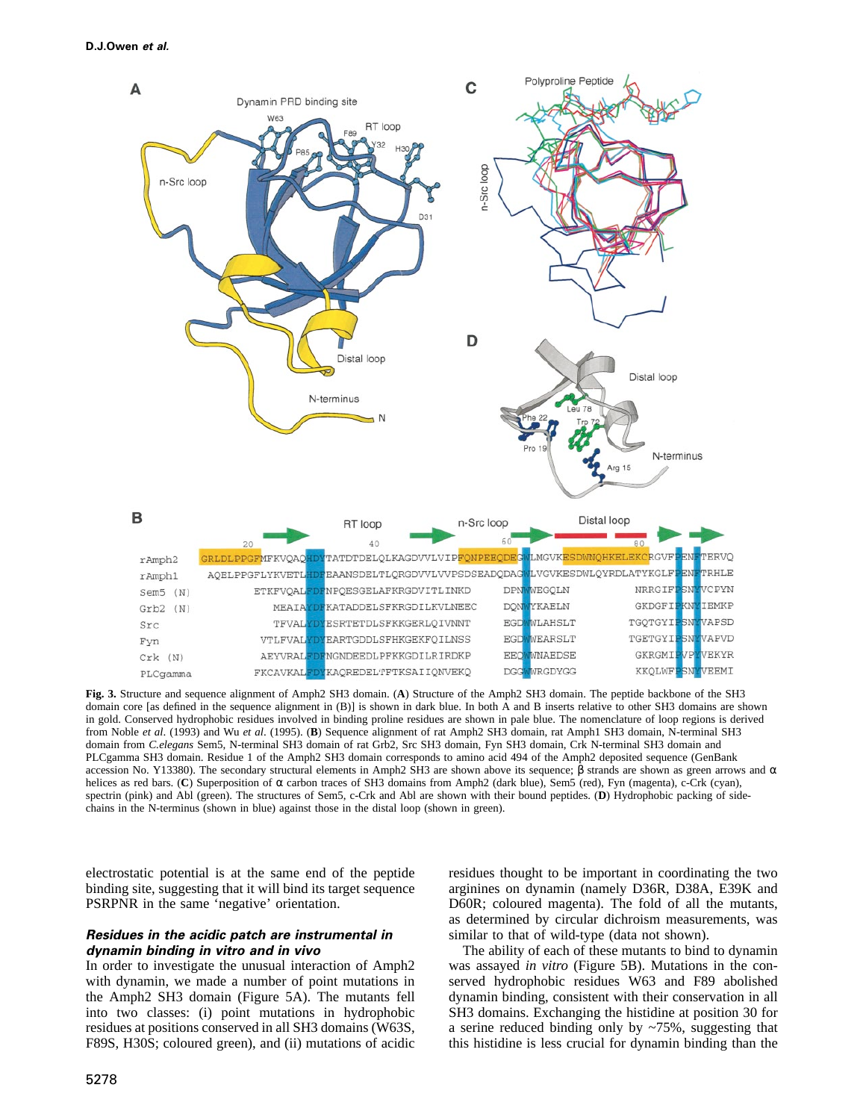

**Fig. 3.** Structure and sequence alignment of Amph2 SH3 domain. (**A**) Structure of the Amph2 SH3 domain. The peptide backbone of the SH3 domain core [as defined in the sequence alignment in (B)] is shown in dark blue. In both A and B inserts relative to other SH3 domains are shown in gold. Conserved hydrophobic residues involved in binding proline residues are shown in pale blue. The nomenclature of loop regions is derived from Noble *et al*. (1993) and Wu *et al*. (1995). (**B**) Sequence alignment of rat Amph2 SH3 domain, rat Amph1 SH3 domain, N-terminal SH3 domain from *C.elegans* Sem5, N-terminal SH3 domain of rat Grb2, Src SH3 domain, Fyn SH3 domain, Crk N-terminal SH3 domain and PLCgamma SH3 domain. Residue 1 of the Amph2 SH3 domain corresponds to amino acid 494 of the Amph2 deposited sequence (GenBank accession No. Y13380). The secondary structural elements in Amph2 SH3 are shown above its sequence;  $β$  strands are shown as green arrows and  $α$ helices as red bars. (**C**) Superposition of α carbon traces of SH3 domains from Amph2 (dark blue), Sem5 (red), Fyn (magenta), c-Crk (cyan), spectrin (pink) and Abl (green). The structures of Sem5, c-Crk and Abl are shown with their bound peptides. (**D**) Hydrophobic packing of sidechains in the N-terminus (shown in blue) against those in the distal loop (shown in green).

electrostatic potential is at the same end of the peptide binding site, suggesting that it will bind its target sequence PSRPNR in the same 'negative' orientation.

## **Residues in the acidic patch are instrumental in dynamin binding in vitro and in vivo**

In order to investigate the unusual interaction of Amph2 with dynamin, we made a number of point mutations in the Amph2 SH3 domain (Figure 5A). The mutants fell into two classes: (i) point mutations in hydrophobic residues at positions conserved in all SH3 domains (W63S, F89S, H30S; coloured green), and (ii) mutations of acidic residues thought to be important in coordinating the two arginines on dynamin (namely D36R, D38A, E39K and D60R; coloured magenta). The fold of all the mutants, as determined by circular dichroism measurements, was similar to that of wild-type (data not shown).

The ability of each of these mutants to bind to dynamin was assayed *in vitro* (Figure 5B). Mutations in the conserved hydrophobic residues W63 and F89 abolished dynamin binding, consistent with their conservation in all SH3 domains. Exchanging the histidine at position 30 for a serine reduced binding only by  $\sim$ 75%, suggesting that this histidine is less crucial for dynamin binding than the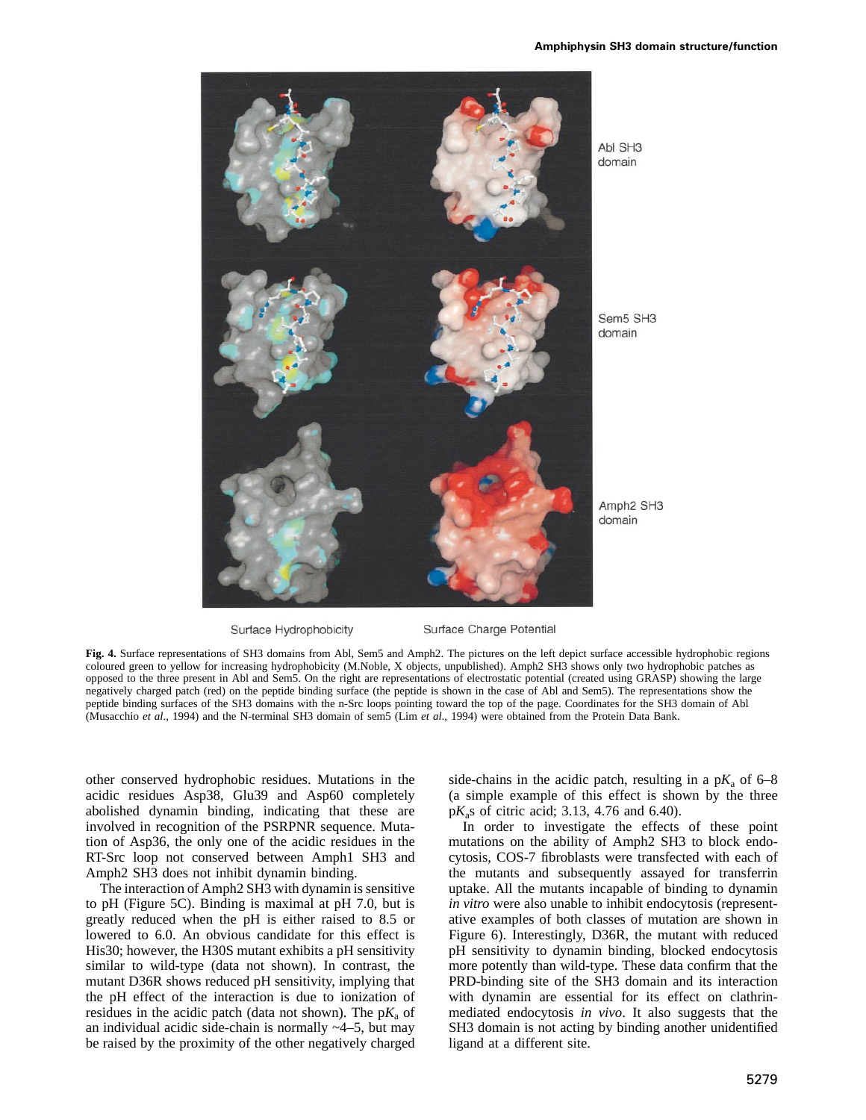

Surface Hydrophobicity

Surface Charge Potential

**Fig. 4.** Surface representations of SH3 domains from Abl, Sem5 and Amph2. The pictures on the left depict surface accessible hydrophobic regions coloured green to yellow for increasing hydrophobicity (M.Noble, X objects, unpublished). Amph2 SH3 shows only two hydrophobic patches as opposed to the three present in Abl and Sem5. On the right are representations of electrostatic potential (created using GRASP) showing the large negatively charged patch (red) on the peptide binding surface (the peptide is shown in the case of Abl and Sem5). The representations show the peptide binding surfaces of the SH3 domains with the n-Src loops pointing toward the top of the page. Coordinates for the SH3 domain of Abl (Musacchio *et al*., 1994) and the N-terminal SH3 domain of sem5 (Lim *et al*., 1994) were obtained from the Protein Data Bank.

other conserved hydrophobic residues. Mutations in the acidic residues Asp38, Glu39 and Asp60 completely abolished dynamin binding, indicating that these are involved in recognition of the PSRPNR sequence. Mutation of Asp36, the only one of the acidic residues in the RT-Src loop not conserved between Amph1 SH3 and Amph2 SH3 does not inhibit dynamin binding.

The interaction of Amph2 SH3 with dynamin is sensitive to pH (Figure 5C). Binding is maximal at pH 7.0, but is greatly reduced when the pH is either raised to 8.5 or lowered to 6.0. An obvious candidate for this effect is His30; however, the H30S mutant exhibits a pH sensitivity similar to wild-type (data not shown). In contrast, the mutant D36R shows reduced pH sensitivity, implying that the pH effect of the interaction is due to ionization of residues in the acidic patch (data not shown). The  $pK_a$  of an individual acidic side-chain is normally  $\sim$ 4–5, but may be raised by the proximity of the other negatively charged

side-chains in the acidic patch, resulting in a  $pK_a$  of 6–8 (a simple example of this effect is shown by the three p*K*as of citric acid; 3.13, 4.76 and 6.40).

In order to investigate the effects of these point mutations on the ability of Amph2 SH3 to block endocytosis, COS-7 fibroblasts were transfected with each of the mutants and subsequently assayed for transferrin uptake. All the mutants incapable of binding to dynamin *in vitro* were also unable to inhibit endocytosis (representative examples of both classes of mutation are shown in Figure 6). Interestingly, D36R, the mutant with reduced pH sensitivity to dynamin binding, blocked endocytosis more potently than wild-type. These data confirm that the PRD-binding site of the SH3 domain and its interaction with dynamin are essential for its effect on clathrinmediated endocytosis *in vivo*. It also suggests that the SH3 domain is not acting by binding another unidentified ligand at a different site.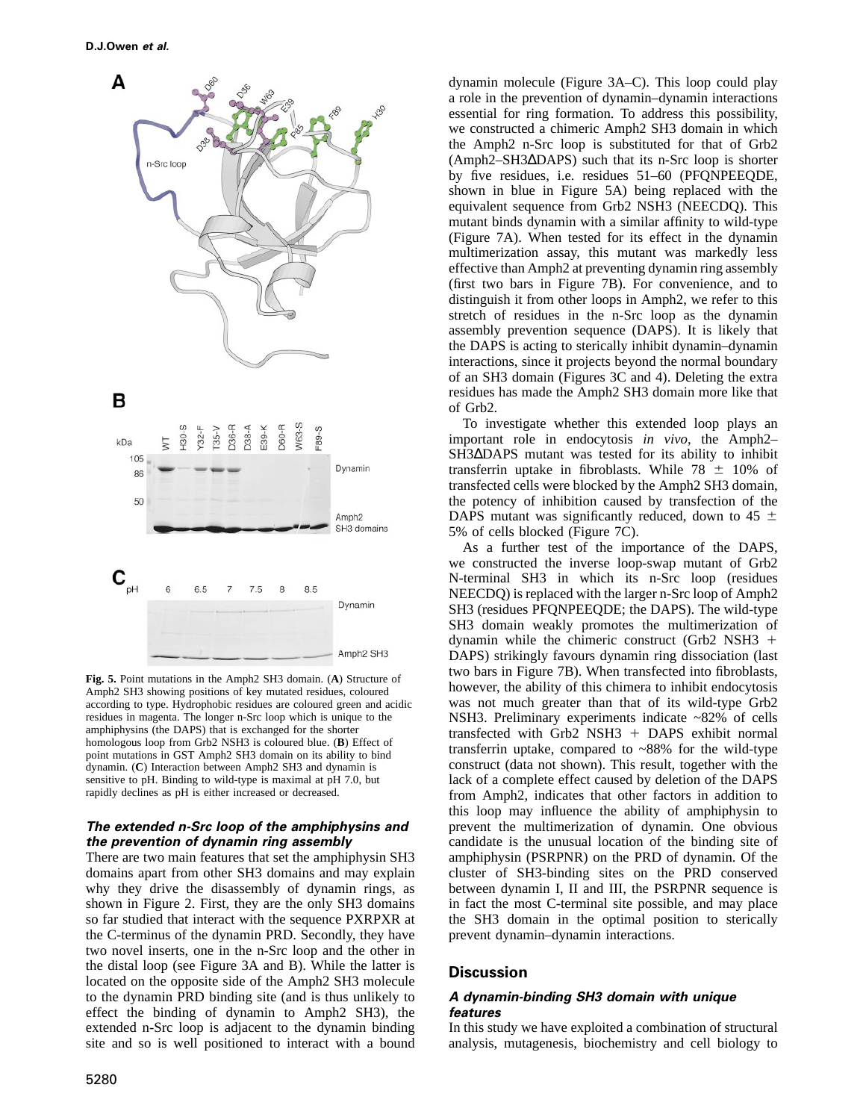

**Fig. 5.** Point mutations in the Amph2 SH3 domain. (**A**) Structure of Amph2 SH3 showing positions of key mutated residues, coloured according to type. Hydrophobic residues are coloured green and acidic residues in magenta. The longer n-Src loop which is unique to the amphiphysins (the DAPS) that is exchanged for the shorter homologous loop from Grb2 NSH3 is coloured blue. (**B**) Effect of point mutations in GST Amph2 SH3 domain on its ability to bind dynamin. (**C**) Interaction between Amph2 SH3 and dynamin is sensitive to pH. Binding to wild-type is maximal at pH 7.0, but rapidly declines as pH is either increased or decreased.

### **The extended n-Src loop of the amphiphysins and the prevention of dynamin ring assembly**

There are two main features that set the amphiphysin SH3 domains apart from other SH3 domains and may explain why they drive the disassembly of dynamin rings, as shown in Figure 2. First, they are the only SH3 domains so far studied that interact with the sequence PXRPXR at the C-terminus of the dynamin PRD. Secondly, they have two novel inserts, one in the n-Src loop and the other in the distal loop (see Figure 3A and B). While the latter is located on the opposite side of the Amph2 SH3 molecule to the dynamin PRD binding site (and is thus unlikely to effect the binding of dynamin to Amph2 SH3), the extended n-Src loop is adjacent to the dynamin binding site and so is well positioned to interact with a bound

dynamin molecule (Figure 3A–C). This loop could play a role in the prevention of dynamin–dynamin interactions essential for ring formation. To address this possibility, we constructed a chimeric Amph2 SH3 domain in which the Amph2 n-Src loop is substituted for that of Grb2 (Amph2–SH3∆DAPS) such that its n-Src loop is shorter by five residues, i.e. residues 51–60 (PFQNPEEQDE, shown in blue in Figure 5A) being replaced with the equivalent sequence from Grb2 NSH3 (NEECDQ). This mutant binds dynamin with a similar affinity to wild-type (Figure 7A). When tested for its effect in the dynamin multimerization assay, this mutant was markedly less effective than Amph2 at preventing dynamin ring assembly (first two bars in Figure 7B). For convenience, and to distinguish it from other loops in Amph2, we refer to this stretch of residues in the n-Src loop as the dynamin assembly prevention sequence (DAPS). It is likely that the DAPS is acting to sterically inhibit dynamin–dynamin interactions, since it projects beyond the normal boundary of an SH3 domain (Figures 3C and 4). Deleting the extra residues has made the Amph2 SH3 domain more like that of Grb2.

To investigate whether this extended loop plays an important role in endocytosis *in vivo*, the Amph2– SH3∆DAPS mutant was tested for its ability to inhibit transferrin uptake in fibroblasts. While  $78 \pm 10\%$  of transfected cells were blocked by the Amph2 SH3 domain, the potency of inhibition caused by transfection of the DAPS mutant was significantly reduced, down to 45  $\pm$ 5% of cells blocked (Figure 7C).

As a further test of the importance of the DAPS, we constructed the inverse loop-swap mutant of Grb2 N-terminal SH3 in which its n-Src loop (residues NEECDQ) is replaced with the larger n-Src loop of Amph2 SH3 (residues PFQNPEEQDE; the DAPS). The wild-type SH3 domain weakly promotes the multimerization of dynamin while the chimeric construct (Grb2 NSH3  $+$ DAPS) strikingly favours dynamin ring dissociation (last two bars in Figure 7B). When transfected into fibroblasts, however, the ability of this chimera to inhibit endocytosis was not much greater than that of its wild-type Grb2 NSH3. Preliminary experiments indicate ~82% of cells transfected with Grb2 NSH3  $+$  DAPS exhibit normal transferrin uptake, compared to  $~88\%$  for the wild-type construct (data not shown). This result, together with the lack of a complete effect caused by deletion of the DAPS from Amph2, indicates that other factors in addition to this loop may influence the ability of amphiphysin to prevent the multimerization of dynamin. One obvious candidate is the unusual location of the binding site of amphiphysin (PSRPNR) on the PRD of dynamin. Of the cluster of SH3-binding sites on the PRD conserved between dynamin I, II and III, the PSRPNR sequence is in fact the most C-terminal site possible, and may place the SH3 domain in the optimal position to sterically prevent dynamin–dynamin interactions.

# **Discussion**

### **A dynamin-binding SH3 domain with unique features**

In this study we have exploited a combination of structural analysis, mutagenesis, biochemistry and cell biology to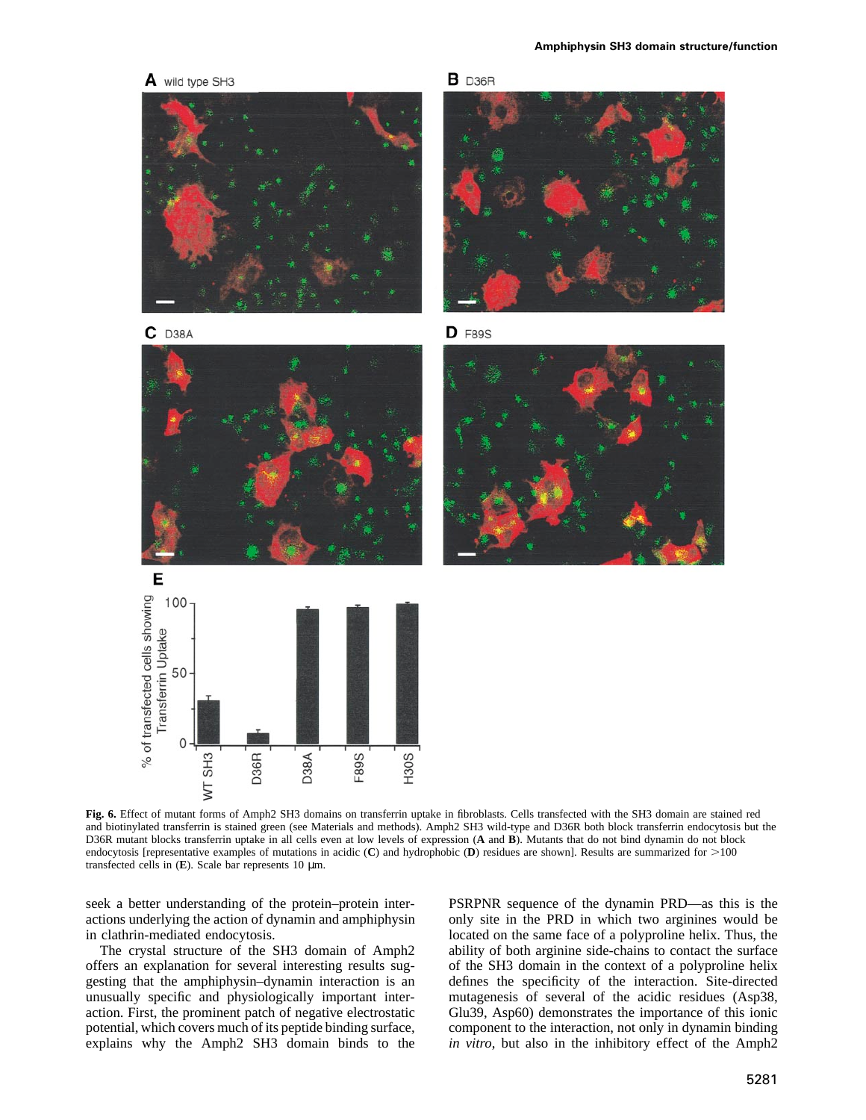

**Fig. 6.** Effect of mutant forms of Amph2 SH3 domains on transferrin uptake in fibroblasts. Cells transfected with the SH3 domain are stained red and biotinylated transferrin is stained green (see Materials and methods). Amph2 SH3 wild-type and D36R both block transferrin endocytosis but the D36R mutant blocks transferrin uptake in all cells even at low levels of expression (**A** and **B**). Mutants that do not bind dynamin do not block endocytosis [representative examples of mutations in acidic  $(C)$  and hydrophobic  $(D)$  residues are shown]. Results are summarized for  $>100$ transfected cells in  $(E)$ . Scale bar represents 10  $\mu$ m.

seek a better understanding of the protein–protein interactions underlying the action of dynamin and amphiphysin in clathrin-mediated endocytosis.

The crystal structure of the SH3 domain of Amph2 offers an explanation for several interesting results suggesting that the amphiphysin–dynamin interaction is an unusually specific and physiologically important interaction. First, the prominent patch of negative electrostatic potential, which covers much of its peptide binding surface, explains why the Amph2 SH3 domain binds to the

PSRPNR sequence of the dynamin PRD—as this is the only site in the PRD in which two arginines would be located on the same face of a polyproline helix. Thus, the ability of both arginine side-chains to contact the surface of the SH3 domain in the context of a polyproline helix defines the specificity of the interaction. Site-directed mutagenesis of several of the acidic residues (Asp38, Glu39, Asp60) demonstrates the importance of this ionic component to the interaction, not only in dynamin binding *in vitro*, but also in the inhibitory effect of the Amph2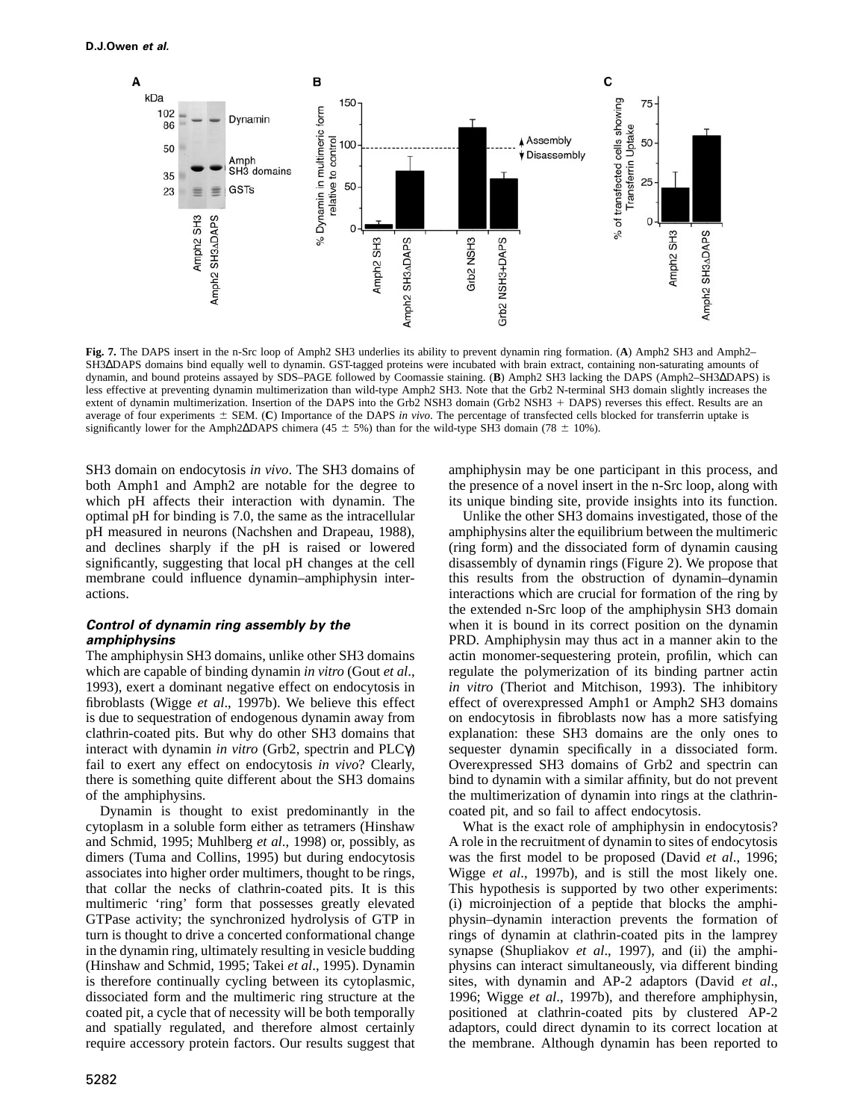

**Fig. 7.** The DAPS insert in the n-Src loop of Amph2 SH3 underlies its ability to prevent dynamin ring formation. (**A**) Amph2 SH3 and Amph2– SH3∆DAPS domains bind equally well to dynamin. GST-tagged proteins were incubated with brain extract, containing non-saturating amounts of dynamin, and bound proteins assayed by SDS–PAGE followed by Coomassie staining. (**B**) Amph2 SH3 lacking the DAPS (Amph2–SH3∆DAPS) is less effective at preventing dynamin multimerization than wild-type Amph2 SH3. Note that the Grb2 N-terminal SH3 domain slightly increases the extent of dynamin multimerization. Insertion of the DAPS into the Grb2 NSH3 domain (Grb2 NSH3 + DAPS) reverses this effect. Results are an average of four experiments  $\pm$  SEM. (C) Importance of the DAPS *in vivo*. The percentage of transfected cells blocked for transferrin uptake is significantly lower for the Amph2∆DAPS chimera (45  $\pm$  5%) than for the wild-type SH3 domain (78  $\pm$  10%).

SH3 domain on endocytosis *in vivo*. The SH3 domains of both Amph1 and Amph2 are notable for the degree to which pH affects their interaction with dynamin. The optimal pH for binding is 7.0, the same as the intracellular pH measured in neurons (Nachshen and Drapeau, 1988), and declines sharply if the pH is raised or lowered significantly, suggesting that local pH changes at the cell membrane could influence dynamin–amphiphysin interactions.

### **Control of dynamin ring assembly by the amphiphysins**

The amphiphysin SH3 domains, unlike other SH3 domains which are capable of binding dynamin *in vitro* (Gout *et al*., 1993), exert a dominant negative effect on endocytosis in fibroblasts (Wigge *et al*., 1997b). We believe this effect is due to sequestration of endogenous dynamin away from clathrin-coated pits. But why do other SH3 domains that interact with dynamin *in vitro* (Grb2, spectrin and PLCγ) fail to exert any effect on endocytosis *in vivo*? Clearly, there is something quite different about the SH3 domains of the amphiphysins.

Dynamin is thought to exist predominantly in the cytoplasm in a soluble form either as tetramers (Hinshaw and Schmid, 1995; Muhlberg *et al*., 1998) or, possibly, as dimers (Tuma and Collins, 1995) but during endocytosis associates into higher order multimers, thought to be rings, that collar the necks of clathrin-coated pits. It is this multimeric 'ring' form that possesses greatly elevated GTPase activity; the synchronized hydrolysis of GTP in turn is thought to drive a concerted conformational change in the dynamin ring, ultimately resulting in vesicle budding (Hinshaw and Schmid, 1995; Takei *et al*., 1995). Dynamin is therefore continually cycling between its cytoplasmic, dissociated form and the multimeric ring structure at the coated pit, a cycle that of necessity will be both temporally and spatially regulated, and therefore almost certainly require accessory protein factors. Our results suggest that amphiphysin may be one participant in this process, and the presence of a novel insert in the n-Src loop, along with its unique binding site, provide insights into its function.

Unlike the other SH3 domains investigated, those of the amphiphysins alter the equilibrium between the multimeric (ring form) and the dissociated form of dynamin causing disassembly of dynamin rings (Figure 2). We propose that this results from the obstruction of dynamin–dynamin interactions which are crucial for formation of the ring by the extended n-Src loop of the amphiphysin SH3 domain when it is bound in its correct position on the dynamin PRD. Amphiphysin may thus act in a manner akin to the actin monomer-sequestering protein, profilin, which can regulate the polymerization of its binding partner actin *in vitro* (Theriot and Mitchison, 1993). The inhibitory effect of overexpressed Amph1 or Amph2 SH3 domains on endocytosis in fibroblasts now has a more satisfying explanation: these SH3 domains are the only ones to sequester dynamin specifically in a dissociated form. Overexpressed SH3 domains of Grb2 and spectrin can bind to dynamin with a similar affinity, but do not prevent the multimerization of dynamin into rings at the clathrincoated pit, and so fail to affect endocytosis.

What is the exact role of amphiphysin in endocytosis? A role in the recruitment of dynamin to sites of endocytosis was the first model to be proposed (David *et al*., 1996; Wigge *et al*., 1997b), and is still the most likely one. This hypothesis is supported by two other experiments: (i) microinjection of a peptide that blocks the amphiphysin–dynamin interaction prevents the formation of rings of dynamin at clathrin-coated pits in the lamprey synapse (Shupliakov *et al*., 1997), and (ii) the amphiphysins can interact simultaneously, via different binding sites, with dynamin and AP-2 adaptors (David *et al*., 1996; Wigge *et al*., 1997b), and therefore amphiphysin, positioned at clathrin-coated pits by clustered AP-2 adaptors, could direct dynamin to its correct location at the membrane. Although dynamin has been reported to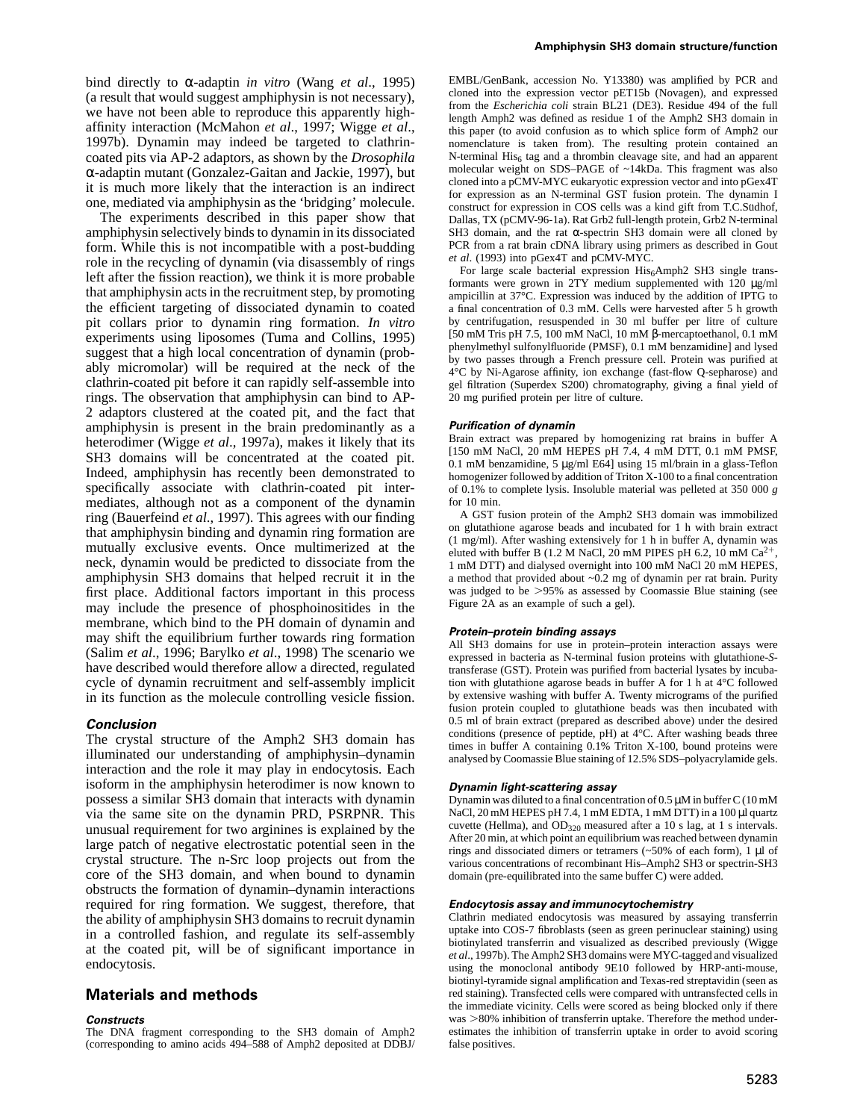bind directly to α-adaptin *in vitro* (Wang *et al*., 1995) (a result that would suggest amphiphysin is not necessary), we have not been able to reproduce this apparently highaffinity interaction (McMahon *et al*., 1997; Wigge *et al*., 1997b). Dynamin may indeed be targeted to clathrincoated pits via AP-2 adaptors, as shown by the *Drosophila* α-adaptin mutant (Gonzalez-Gaitan and Jackie, 1997), but it is much more likely that the interaction is an indirect one, mediated via amphiphysin as the 'bridging' molecule.

The experiments described in this paper show that amphiphysin selectively binds to dynamin in its dissociated form. While this is not incompatible with a post-budding role in the recycling of dynamin (via disassembly of rings left after the fission reaction), we think it is more probable that amphiphysin acts in the recruitment step, by promoting the efficient targeting of dissociated dynamin to coated pit collars prior to dynamin ring formation. *In vitro* experiments using liposomes (Tuma and Collins, 1995) suggest that a high local concentration of dynamin (probably micromolar) will be required at the neck of the clathrin-coated pit before it can rapidly self-assemble into rings. The observation that amphiphysin can bind to AP-2 adaptors clustered at the coated pit, and the fact that amphiphysin is present in the brain predominantly as a heterodimer (Wigge *et al*., 1997a), makes it likely that its SH3 domains will be concentrated at the coated pit. Indeed, amphiphysin has recently been demonstrated to specifically associate with clathrin-coated pit intermediates, although not as a component of the dynamin ring (Bauerfeind *et al*., 1997). This agrees with our finding that amphiphysin binding and dynamin ring formation are mutually exclusive events. Once multimerized at the neck, dynamin would be predicted to dissociate from the amphiphysin SH3 domains that helped recruit it in the first place. Additional factors important in this process may include the presence of phosphoinositides in the membrane, which bind to the PH domain of dynamin and may shift the equilibrium further towards ring formation (Salim *et al*., 1996; Barylko *et al*., 1998) The scenario we have described would therefore allow a directed, regulated cycle of dynamin recruitment and self-assembly implicit in its function as the molecule controlling vesicle fission.

#### **Conclusion**

The crystal structure of the Amph2 SH3 domain has illuminated our understanding of amphiphysin–dynamin interaction and the role it may play in endocytosis. Each isoform in the amphiphysin heterodimer is now known to possess a similar SH3 domain that interacts with dynamin via the same site on the dynamin PRD, PSRPNR. This unusual requirement for two arginines is explained by the large patch of negative electrostatic potential seen in the crystal structure. The n-Src loop projects out from the core of the SH3 domain, and when bound to dynamin obstructs the formation of dynamin–dynamin interactions required for ring formation. We suggest, therefore, that the ability of amphiphysin SH3 domains to recruit dynamin in a controlled fashion, and regulate its self-assembly at the coated pit, will be of significant importance in endocytosis.

# **Materials and methods**

#### **Constructs**

The DNA fragment corresponding to the SH3 domain of Amph2 (corresponding to amino acids 494–588 of Amph2 deposited at DDBJ/ EMBL/GenBank, accession No. Y13380) was amplified by PCR and cloned into the expression vector pET15b (Novagen), and expressed from the *Escherichia coli* strain BL21 (DE3). Residue 494 of the full length Amph2 was defined as residue 1 of the Amph2 SH3 domain in this paper (to avoid confusion as to which splice form of Amph2 our nomenclature is taken from). The resulting protein contained an N-terminal  $His<sub>6</sub>$  tag and a thrombin cleavage site, and had an apparent molecular weight on SDS–PAGE of ~14kDa. This fragment was also cloned into a pCMV-MYC eukaryotic expression vector and into pGex4T for expression as an N-terminal GST fusion protein. The dynamin I construct for expression in COS cells was a kind gift from T.C.Südhof, Dallas, TX (pCMV-96-1a). Rat Grb2 full-length protein, Grb2 N-terminal SH3 domain, and the rat α-spectrin SH3 domain were all cloned by PCR from a rat brain cDNA library using primers as described in Gout *et al*. (1993) into pGex4T and pCMV-MYC.

For large scale bacterial expression  $His<sub>6</sub>Amph2 SH3$  single transformants were grown in 2TY medium supplemented with 120 µg/ml ampicillin at 37°C. Expression was induced by the addition of IPTG to a final concentration of 0.3 mM. Cells were harvested after 5 h growth by centrifugation, resuspended in 30 ml buffer per litre of culture [50 mM Tris pH 7.5, 100 mM NaCl, 10 mM β-mercaptoethanol, 0.1 mM phenylmethyl sulfonylfluoride (PMSF), 0.1 mM benzamidine] and lysed by two passes through a French pressure cell. Protein was purified at 4°C by Ni-Agarose affinity, ion exchange (fast-flow Q-sepharose) and gel filtration (Superdex S200) chromatography, giving a final yield of 20 mg purified protein per litre of culture.

#### **Purification of dynamin**

Brain extract was prepared by homogenizing rat brains in buffer A [150 mM NaCl, 20 mM HEPES pH 7.4, 4 mM DTT, 0.1 mM PMSF, 0.1 mM benzamidine, 5 µg/ml E64] using 15 ml/brain in a glass-Teflon homogenizer followed by addition of Triton X-100 to a final concentration of 0.1% to complete lysis. Insoluble material was pelleted at 350 000 *g* for 10 min.

A GST fusion protein of the Amph2 SH3 domain was immobilized on glutathione agarose beads and incubated for 1 h with brain extract (1 mg/ml). After washing extensively for 1 h in buffer A, dynamin was eluted with buffer B (1.2 M NaCl, 20 mM PIPES pH 6.2, 10 mM  $Ca^{2+}$ 1 mM DTT) and dialysed overnight into 100 mM NaCl 20 mM HEPES, a method that provided about ~0.2 mg of dynamin per rat brain. Purity was judged to be >95% as assessed by Coomassie Blue staining (see Figure 2A as an example of such a gel).

#### **Protein–protein binding assays**

All SH3 domains for use in protein–protein interaction assays were expressed in bacteria as N-terminal fusion proteins with glutathione-*S*transferase (GST). Protein was purified from bacterial lysates by incubation with glutathione agarose beads in buffer A for 1 h at 4°C followed by extensive washing with buffer A. Twenty micrograms of the purified fusion protein coupled to glutathione beads was then incubated with 0.5 ml of brain extract (prepared as described above) under the desired conditions (presence of peptide, pH) at 4°C. After washing beads three times in buffer A containing 0.1% Triton X-100, bound proteins were analysed by Coomassie Blue staining of 12.5% SDS–polyacrylamide gels.

#### **Dynamin light-scattering assay**

Dynamin was diluted to a final concentration of 0.5 µM in buffer C (10 mM NaCl, 20 mM HEPES pH 7.4, 1 mM EDTA, 1 mM DTT) in a 100 µl quartz cuvette (Hellma), and OD<sub>320</sub> measured after a 10 s lag, at 1 s intervals. After 20 min, at which point an equilibrium was reached between dynamin rings and dissociated dimers or tetramers  $(-50\% \text{ of each form})$ , 1 µl of various concentrations of recombinant His–Amph2 SH3 or spectrin-SH3 domain (pre-equilibrated into the same buffer C) were added.

#### **Endocytosis assay and immunocytochemistry**

Clathrin mediated endocytosis was measured by assaying transferrin uptake into COS-7 fibroblasts (seen as green perinuclear staining) using biotinylated transferrin and visualized as described previously (Wigge *et al*., 1997b). The Amph2 SH3 domains were MYC-tagged and visualized using the monoclonal antibody 9E10 followed by HRP-anti-mouse, biotinyl-tyramide signal amplification and Texas-red streptavidin (seen as red staining). Transfected cells were compared with untransfected cells in the immediate vicinity. Cells were scored as being blocked only if there was >80% inhibition of transferrin uptake. Therefore the method underestimates the inhibition of transferrin uptake in order to avoid scoring false positives.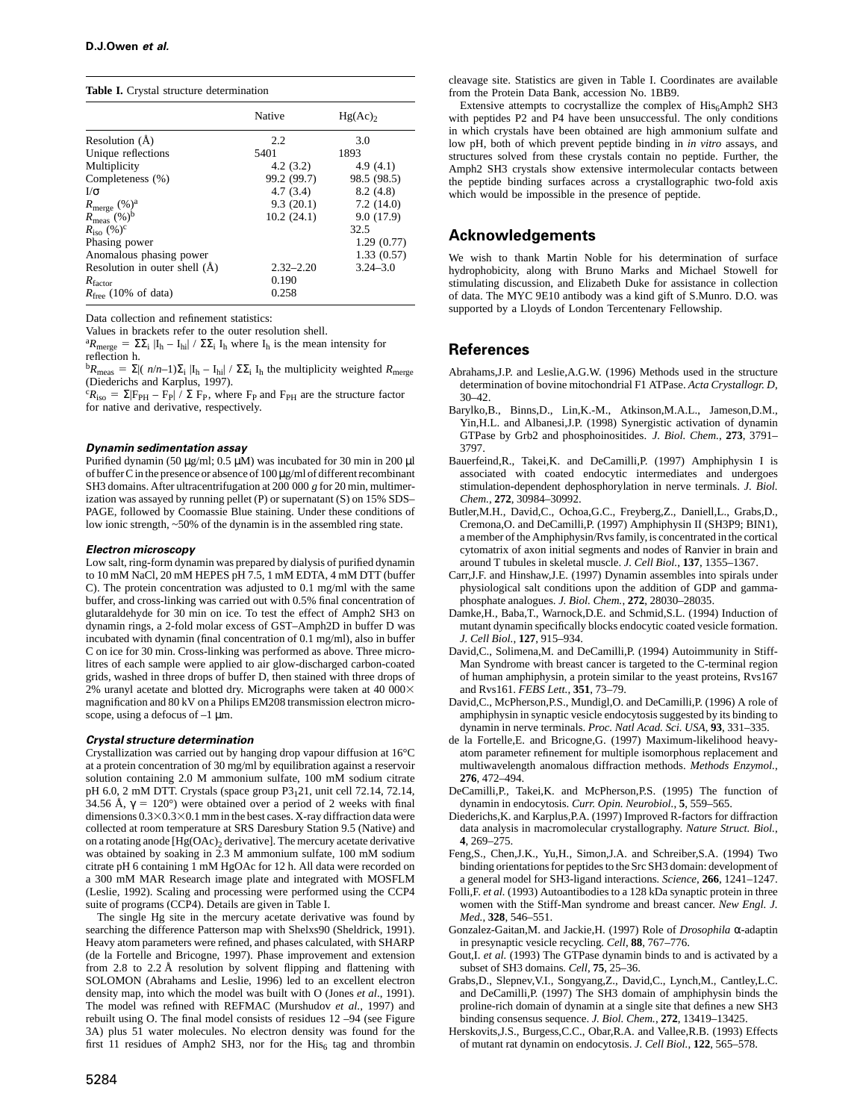| Table I. Crystal structure determination |  |  |
|------------------------------------------|--|--|
|------------------------------------------|--|--|

|                                    | Native        | Hg(Ac)       |
|------------------------------------|---------------|--------------|
| Resolution (A)                     | 2.2           | 3.0          |
| Unique reflections                 | 5401          | 1893         |
| Multiplicity                       | 4.2(3.2)      | 4.9(4.1)     |
| Completeness (%)                   | 99.2 (99.7)   | 98.5 (98.5)  |
| $I/\sigma$                         | 4.7(3.4)      | 8.2(4.8)     |
| $R_{\text{merge}} (\%)^{\text{a}}$ | 9.3(20.1)     | 7.2(14.0)    |
| $R_{\text{meas}}$ (%) <sup>b</sup> | 10.2(24.1)    | 9.0(17.9)    |
| $R_{\rm iso}$ (%) <sup>c</sup>     |               | 32.5         |
| Phasing power                      |               | 1.29(0.77)   |
| Anomalous phasing power            |               | 1.33(0.57)   |
| Resolution in outer shell $(\AA)$  | $2.32 - 2.20$ | $3.24 - 3.0$ |
| $R_{\text{factor}}$                | 0.190         |              |
| $R_{\text{free}}$ (10% of data)    | 0.258         |              |

Data collection and refinement statistics:

Values in brackets refer to the outer resolution shell.

 ${}^{a}R_{\text{merge}} = \Sigma \Sigma_{i} |I_{h} - I_{hi}| / \Sigma \Sigma_{i} I_{h}$  where  $I_{h}$  is the mean intensity for reflection h.

 ${}^{\text{b}}R_{\text{meas}} = \Sigma |(n/n-1)\Sigma_i |I_h - I_h| / \Sigma_i I_h$  the multiplicity weighted  $R_{\text{merge}}$ (Diederichs and Karplus, 1997).

 ${}^{c}R_{\text{iso}} = \Sigma |F_{\text{PH}} - F_{\text{Pl}}| / \Sigma F_{\text{P}}$ , where  $F_{\text{P}}$  and  $F_{\text{PH}}$  are the structure factor for native and derivative, respectively.

#### **Dynamin sedimentation assay**

Purified dynamin (50 µg/ml; 0.5 µM) was incubated for 30 min in 200 µl of buffer C in the presence or absence of 100µg/ml of different recombinant SH3 domains. After ultracentrifugation at 200 000 *g* for 20 min, multimerization was assayed by running pellet (P) or supernatant (S) on 15% SDS– PAGE, followed by Coomassie Blue staining. Under these conditions of low ionic strength, ~50% of the dynamin is in the assembled ring state.

#### **Electron microscopy**

Low salt, ring-form dynamin was prepared by dialysis of purified dynamin to 10 mM NaCl, 20 mM HEPES pH 7.5, 1 mM EDTA, 4 mM DTT (buffer C). The protein concentration was adjusted to 0.1 mg/ml with the same buffer, and cross-linking was carried out with 0.5% final concentration of glutaraldehyde for 30 min on ice. To test the effect of Amph2 SH3 on dynamin rings, a 2-fold molar excess of GST–Amph2D in buffer D was incubated with dynamin (final concentration of 0.1 mg/ml), also in buffer C on ice for 30 min. Cross-linking was performed as above. Three microlitres of each sample were applied to air glow-discharged carbon-coated grids, washed in three drops of buffer D, then stained with three drops of 2% uranyl acetate and blotted dry. Micrographs were taken at 40 000 $\times$ magnification and 80 kV on a Philips EM208 transmission electron microscope, using a defocus of  $-1 \mu m$ .

#### **Crystal structure determination**

Crystallization was carried out by hanging drop vapour diffusion at 16°C at a protein concentration of 30 mg/ml by equilibration against a reservoir solution containing 2.0 M ammonium sulfate, 100 mM sodium citrate pH 6.0, 2 mM DTT. Crystals (space group P3<sub>1</sub>21, unit cell 72.14, 72.14, 34.56 Å,  $\gamma = 120^{\circ}$ ) were obtained over a period of 2 weeks with final dimensions  $0.3\times0.3\times0.1$  mm in the best cases. X-ray diffraction data were collected at room temperature at SRS Daresbury Station 9.5 (Native) and on a rotating anode  $[Hg(OAc)_2]$  derivative]. The mercury acetate derivative was obtained by soaking in 2.3 M ammonium sulfate, 100 mM sodium citrate pH 6 containing 1 mM HgOAc for 12 h. All data were recorded on a 300 mM MAR Research image plate and integrated with MOSFLM (Leslie, 1992). Scaling and processing were performed using the CCP4 suite of programs (CCP4). Details are given in Table I.

The single Hg site in the mercury acetate derivative was found by searching the difference Patterson map with Shelxs90 (Sheldrick, 1991). Heavy atom parameters were refined, and phases calculated, with SHARP (de la Fortelle and Bricogne, 1997). Phase improvement and extension from 2.8 to 2.2 Å resolution by solvent flipping and flattening with SOLOMON (Abrahams and Leslie, 1996) led to an excellent electron density map, into which the model was built with O (Jones *et al*., 1991). The model was refined with REFMAC (Murshudov *et al*., 1997) and rebuilt using O. The final model consists of residues 12 –94 (see Figure 3A) plus 51 water molecules. No electron density was found for the first 11 residues of Amph2 SH3, nor for the  $His<sub>6</sub>$  tag and thrombin

Extensive attempts to cocrystallize the complex of  $His<sub>6</sub>Amph2 SH3$ with peptides P2 and P4 have been unsuccessful. The only conditions in which crystals have been obtained are high ammonium sulfate and low pH, both of which prevent peptide binding in *in vitro* assays, and structures solved from these crystals contain no peptide. Further, the Amph2 SH3 crystals show extensive intermolecular contacts between the peptide binding surfaces across a crystallographic two-fold axis which would be impossible in the presence of peptide.

### **Acknowledgements**

We wish to thank Martin Noble for his determination of surface hydrophobicity, along with Bruno Marks and Michael Stowell for stimulating discussion, and Elizabeth Duke for assistance in collection of data. The MYC 9E10 antibody was a kind gift of S.Munro. D.O. was supported by a Lloyds of London Tercentenary Fellowship.

### **References**

- Abrahams,J.P. and Leslie,A.G.W. (1996) Methods used in the structure determination of bovine mitochondrial F1 ATPase. *Acta Crystallogr. D*,  $30-42$
- Barylko,B., Binns,D., Lin,K.-M., Atkinson,M.A.L., Jameson,D.M., Yin,H.L. and Albanesi,J.P. (1998) Synergistic activation of dynamin GTPase by Grb2 and phosphoinositides. *J. Biol. Chem.*, **273**, 3791– 3797.
- Bauerfeind,R., Takei,K. and DeCamilli,P. (1997) Amphiphysin I is associated with coated endocytic intermediates and undergoes stimulation-dependent dephosphorylation in nerve terminals. *J. Biol. Chem.*, **272**, 30984–30992.
- Butler,M.H., David,C., Ochoa,G.C., Freyberg,Z., Daniell,L., Grabs,D., Cremona,O. and DeCamilli,P. (1997) Amphiphysin II (SH3P9; BIN1), a member of the Amphiphysin/Rvs family, is concentrated in the cortical cytomatrix of axon initial segments and nodes of Ranvier in brain and around T tubules in skeletal muscle. *J. Cell Biol.*, **137**, 1355–1367.
- Carr,J.F. and Hinshaw,J.E. (1997) Dynamin assembles into spirals under physiological salt conditions upon the addition of GDP and gammaphosphate analogues. *J. Biol. Chem.*, **272**, 28030–28035.
- Damke,H., Baba,T., Warnock,D.E. and Schmid,S.L. (1994) Induction of mutant dynamin specifically blocks endocytic coated vesicle formation. *J. Cell Biol.*, **127**, 915–934.
- David,C., Solimena,M. and DeCamilli,P. (1994) Autoimmunity in Stiff-Man Syndrome with breast cancer is targeted to the C-terminal region of human amphiphysin, a protein similar to the yeast proteins, Rvs167 and Rvs161. *FEBS Lett.*, **351**, 73–79.
- David,C., McPherson,P.S., Mundigl,O. and DeCamilli,P. (1996) A role of amphiphysin in synaptic vesicle endocytosis suggested by its binding to dynamin in nerve terminals. *Proc. Natl Acad. Sci. USA*, **93**, 331–335.
- de la Fortelle,E. and Bricogne,G. (1997) Maximum-likelihood heavyatom parameter refinement for multiple isomorphous replacement and multiwavelength anomalous diffraction methods. *Methods Enzymol.*, **276**, 472–494.
- DeCamilli,P., Takei,K. and McPherson,P.S. (1995) The function of dynamin in endocytosis. *Curr. Opin. Neurobiol.*, **5**, 559–565.
- Diederichs,K. and Karplus,P.A. (1997) Improved R-factors for diffraction data analysis in macromolecular crystallography. *Nature Struct. Biol.*, **4**, 269–275.
- Feng,S., Chen,J.K., Yu,H., Simon,J.A. and Schreiber,S.A. (1994) Two binding orientations for peptides to the Src SH3 domain: development of a general model for SH3-ligand interactions*. Science*, **266**, 1241–1247.
- Folli,F. *et al.* (1993) Autoantibodies to a 128 kDa synaptic protein in three women with the Stiff-Man syndrome and breast cancer. *New Engl. J. Med.*, **328**, 546–551.
- Gonzalez-Gaitan,M. and Jackie,H. (1997) Role of *Drosophila* α-adaptin in presynaptic vesicle recycling*. Cell*, **88**, 767–776.
- Gout,I. *et al.* (1993) The GTPase dynamin binds to and is activated by a subset of SH3 domains*. Cell*, **75**, 25–36.
- Grabs,D., Slepnev,V.I., Songyang,Z., David,C., Lynch,M., Cantley,L.C. and DeCamilli,P. (1997) The SH3 domain of amphiphysin binds the proline-rich domain of dynamin at a single site that defines a new SH3 binding consensus sequence. *J. Biol. Chem.*, **272**, 13419–13425.
- Herskovits,J.S., Burgess,C.C., Obar,R.A. and Vallee,R.B. (1993) Effects of mutant rat dynamin on endocytosis. *J. Cell Biol.*, **122**, 565–578.